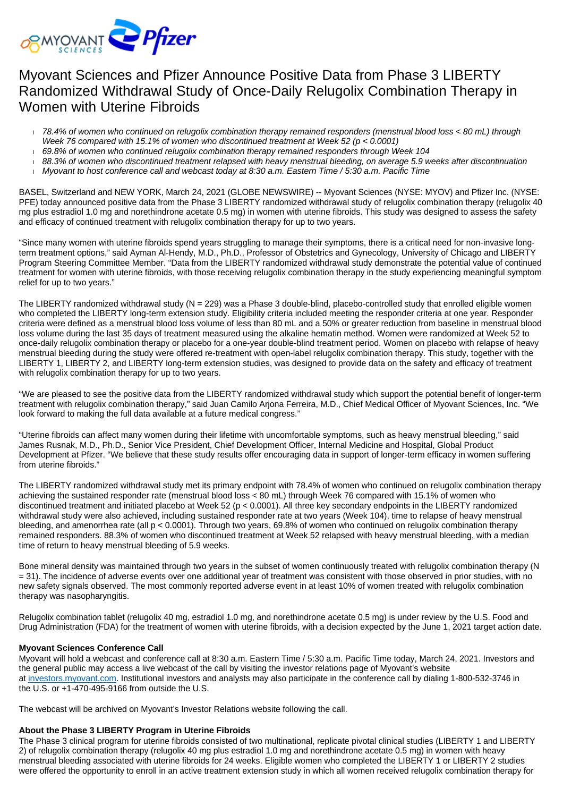

# Myovant Sciences and Pfizer Announce Positive Data from Phase 3 LIBERTY Randomized Withdrawal Study of Once-Daily Relugolix Combination Therapy in Women with Uterine Fibroids

- 1 78.4% of women who continued on relugolix combination therapy remained responders (menstrual blood loss < 80 mL) through Week 76 compared with 15.1% of women who discontinued treatment at Week 52 (p < 0.0001)
- $69.8\%$  of women who continued relugolix combination therapy remained responders through Week 104
- $88.3%$  of women who discontinued treatment relapsed with heavy menstrual bleeding, on average 5.9 weeks after discontinuation
- Myovant to host conference call and webcast today at 8:30 a.m. Eastern Time / 5:30 a.m. Pacific Time

BASEL, Switzerland and NEW YORK, March 24, 2021 (GLOBE NEWSWIRE) -- Myovant Sciences (NYSE: MYOV) and Pfizer Inc. (NYSE: PFE) today announced positive data from the Phase 3 LIBERTY randomized withdrawal study of relugolix combination therapy (relugolix 40 mg plus estradiol 1.0 mg and norethindrone acetate 0.5 mg) in women with uterine fibroids. This study was designed to assess the safety and efficacy of continued treatment with relugolix combination therapy for up to two years.

"Since many women with uterine fibroids spend years struggling to manage their symptoms, there is a critical need for non-invasive longterm treatment options," said Ayman Al-Hendy, M.D., Ph.D., Professor of Obstetrics and Gynecology, University of Chicago and LIBERTY Program Steering Committee Member. "Data from the LIBERTY randomized withdrawal study demonstrate the potential value of continued treatment for women with uterine fibroids, with those receiving relugolix combination therapy in the study experiencing meaningful symptom relief for up to two years."

The LIBERTY randomized withdrawal study (N = 229) was a Phase 3 double-blind, placebo-controlled study that enrolled eligible women who completed the LIBERTY long-term extension study. Eligibility criteria included meeting the responder criteria at one year. Responder criteria were defined as a menstrual blood loss volume of less than 80 mL and a 50% or greater reduction from baseline in menstrual blood loss volume during the last 35 days of treatment measured using the alkaline hematin method. Women were randomized at Week 52 to once-daily relugolix combination therapy or placebo for a one-year double-blind treatment period. Women on placebo with relapse of heavy menstrual bleeding during the study were offered re-treatment with open-label relugolix combination therapy. This study, together with the LIBERTY 1, LIBERTY 2, and LIBERTY long-term extension studies, was designed to provide data on the safety and efficacy of treatment with relugolix combination therapy for up to two years.

"We are pleased to see the positive data from the LIBERTY randomized withdrawal study which support the potential benefit of longer-term treatment with relugolix combination therapy," said Juan Camilo Arjona Ferreira, M.D., Chief Medical Officer of Myovant Sciences, Inc. "We look forward to making the full data available at a future medical congress."

"Uterine fibroids can affect many women during their lifetime with uncomfortable symptoms, such as heavy menstrual bleeding," said James Rusnak, M.D., Ph.D., Senior Vice President, Chief Development Officer, Internal Medicine and Hospital, Global Product Development at Pfizer. "We believe that these study results offer encouraging data in support of longer-term efficacy in women suffering from uterine fibroids."

The LIBERTY randomized withdrawal study met its primary endpoint with 78.4% of women who continued on relugolix combination therapy achieving the sustained responder rate (menstrual blood loss < 80 mL) through Week 76 compared with 15.1% of women who discontinued treatment and initiated placebo at Week 52 (p < 0.0001). All three key secondary endpoints in the LIBERTY randomized withdrawal study were also achieved, including sustained responder rate at two years (Week 104), time to relapse of heavy menstrual bleeding, and amenorrhea rate (all p < 0.0001). Through two years, 69.8% of women who continued on relugolix combination therapy remained responders. 88.3% of women who discontinued treatment at Week 52 relapsed with heavy menstrual bleeding, with a median time of return to heavy menstrual bleeding of 5.9 weeks.

Bone mineral density was maintained through two years in the subset of women continuously treated with relugolix combination therapy (N = 31). The incidence of adverse events over one additional year of treatment was consistent with those observed in prior studies, with no new safety signals observed. The most commonly reported adverse event in at least 10% of women treated with relugolix combination therapy was nasopharyngitis.

Relugolix combination tablet (relugolix 40 mg, estradiol 1.0 mg, and norethindrone acetate 0.5 mg) is under review by the U.S. Food and Drug Administration (FDA) for the treatment of women with uterine fibroids, with a decision expected by the June 1, 2021 target action date.

#### **Myovant Sciences Conference Call**

Myovant will hold a webcast and conference call at 8:30 a.m. Eastern Time / 5:30 a.m. Pacific Time today, March 24, 2021. Investors and the general public may access a live webcast of the call by visiting the investor relations page of Myovant's website at [investors.myovant.com.](https://investors.myovant.com/) Institutional investors and analysts may also participate in the conference call by dialing 1-800-532-3746 in the U.S. or +1-470-495-9166 from outside the U.S.

The webcast will be archived on Myovant's Investor Relations website following the call.

#### **About the Phase 3 LIBERTY Program in Uterine Fibroids**

The Phase 3 clinical program for uterine fibroids consisted of two multinational, replicate pivotal clinical studies (LIBERTY 1 and LIBERTY 2) of relugolix combination therapy (relugolix 40 mg plus estradiol 1.0 mg and norethindrone acetate 0.5 mg) in women with heavy menstrual bleeding associated with uterine fibroids for 24 weeks. Eligible women who completed the LIBERTY 1 or LIBERTY 2 studies were offered the opportunity to enroll in an active treatment extension study in which all women received relugolix combination therapy for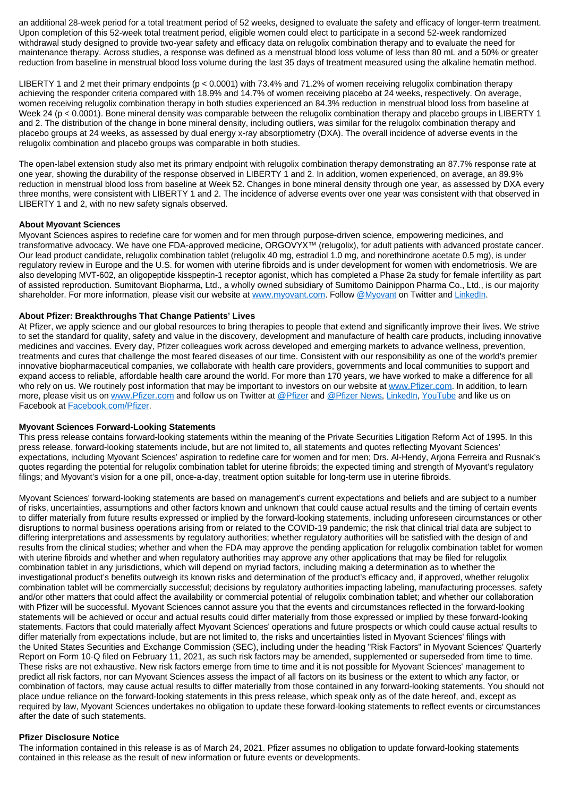an additional 28-week period for a total treatment period of 52 weeks, designed to evaluate the safety and efficacy of longer-term treatment. Upon completion of this 52-week total treatment period, eligible women could elect to participate in a second 52-week randomized withdrawal study designed to provide two-year safety and efficacy data on relugolix combination therapy and to evaluate the need for maintenance therapy. Across studies, a response was defined as a menstrual blood loss volume of less than 80 mL and a 50% or greater reduction from baseline in menstrual blood loss volume during the last 35 days of treatment measured using the alkaline hematin method.

LIBERTY 1 and 2 met their primary endpoints (p < 0.0001) with 73.4% and 71.2% of women receiving relugolix combination therapy achieving the responder criteria compared with 18.9% and 14.7% of women receiving placebo at 24 weeks, respectively. On average, women receiving relugolix combination therapy in both studies experienced an 84.3% reduction in menstrual blood loss from baseline at Week 24 (p < 0.0001). Bone mineral density was comparable between the relugolix combination therapy and placebo groups in LIBERTY 1 and 2. The distribution of the change in bone mineral density, including outliers, was similar for the relugolix combination therapy and placebo groups at 24 weeks, as assessed by dual energy x-ray absorptiometry (DXA). The overall incidence of adverse events in the relugolix combination and placebo groups was comparable in both studies.

The open-label extension study also met its primary endpoint with relugolix combination therapy demonstrating an 87.7% response rate at one year, showing the durability of the response observed in LIBERTY 1 and 2. In addition, women experienced, on average, an 89.9% reduction in menstrual blood loss from baseline at Week 52. Changes in bone mineral density through one year, as assessed by DXA every three months, were consistent with LIBERTY 1 and 2. The incidence of adverse events over one year was consistent with that observed in LIBERTY 1 and 2, with no new safety signals observed.

#### **About Myovant Sciences**

Myovant Sciences aspires to redefine care for women and for men through purpose-driven science, empowering medicines, and transformative advocacy. We have one FDA-approved medicine, ORGOVYX™ (relugolix), for adult patients with advanced prostate cancer. Our lead product candidate, relugolix combination tablet (relugolix 40 mg, estradiol 1.0 mg, and norethindrone acetate 0.5 mg), is under regulatory review in Europe and the U.S. for women with uterine fibroids and is under development for women with endometriosis. We are also developing MVT-602, an oligopeptide kisspeptin-1 receptor agonist, which has completed a Phase 2a study for female infertility as part of assisted reproduction. Sumitovant Biopharma, Ltd., a wholly owned subsidiary of Sumitomo Dainippon Pharma Co., Ltd., is our majority shareholder. For more information, please visit our website at [www.myovant.com.](https://www.myovant.com/) Follow [@Myovant](https://twitter.com/myovant?lang=en) on Twitter and [LinkedIn](https://www.linkedin.com/company/myovant-sciences).

#### **About Pfizer: Breakthroughs That Change Patients' Lives**

At Pfizer, we apply science and our global resources to bring therapies to people that extend and significantly improve their lives. We strive to set the standard for quality, safety and value in the discovery, development and manufacture of health care products, including innovative medicines and vaccines. Every day, Pfizer colleagues work across developed and emerging markets to advance wellness, prevention, treatments and cures that challenge the most feared diseases of our time. Consistent with our responsibility as one of the world's premier innovative biopharmaceutical companies, we collaborate with health care providers, governments and local communities to support and expand access to reliable, affordable health care around the world. For more than 170 years, we have worked to make a difference for all who rely on us. We routinely post information that may be important to investors on our website at [www.Pfizer.com.](http://www.pfizer.com/) In addition, to learn more, please visit us on [www.Pfizer.com](http://www.pfizer.com/) and follow us on Twitter at [@Pfizer](https://twitter.com/pfizer) and [@Pfizer News,](https://twitter.com/pfizer_news) [LinkedIn](https://www.linkedin.com/company/pfizer/), [YouTube](https://www.youtube.com/pfizer) and like us on Facebook at [Facebook.com/Pfizer.](https://www.facebook.com/Pfizer/)

#### **Myovant Sciences Forward-Looking Statements**

This press release contains forward-looking statements within the meaning of the Private Securities Litigation Reform Act of 1995. In this press release, forward-looking statements include, but are not limited to, all statements and quotes reflecting Myovant Sciences' expectations, including Myovant Sciences' aspiration to redefine care for women and for men; Drs. Al-Hendy, Arjona Ferreira and Rusnak's quotes regarding the potential for relugolix combination tablet for uterine fibroids; the expected timing and strength of Myovant's regulatory filings; and Myovant's vision for a one pill, once-a-day, treatment option suitable for long-term use in uterine fibroids.

Myovant Sciences' forward-looking statements are based on management's current expectations and beliefs and are subject to a number of risks, uncertainties, assumptions and other factors known and unknown that could cause actual results and the timing of certain events to differ materially from future results expressed or implied by the forward-looking statements, including unforeseen circumstances or other disruptions to normal business operations arising from or related to the COVID-19 pandemic; the risk that clinical trial data are subject to differing interpretations and assessments by regulatory authorities; whether regulatory authorities will be satisfied with the design of and results from the clinical studies; whether and when the FDA may approve the pending application for relugolix combination tablet for women with uterine fibroids and whether and when regulatory authorities may approve any other applications that may be filed for relugolix combination tablet in any jurisdictions, which will depend on myriad factors, including making a determination as to whether the investigational product's benefits outweigh its known risks and determination of the product's efficacy and, if approved, whether relugolix combination tablet will be commercially successful; decisions by regulatory authorities impacting labeling, manufacturing processes, safety and/or other matters that could affect the availability or commercial potential of relugolix combination tablet; and whether our collaboration with Pfizer will be successful. Myovant Sciences cannot assure you that the events and circumstances reflected in the forward-looking statements will be achieved or occur and actual results could differ materially from those expressed or implied by these forward-looking statements. Factors that could materially affect Myovant Sciences' operations and future prospects or which could cause actual results to differ materially from expectations include, but are not limited to, the risks and uncertainties listed in Myovant Sciences' filings with the United States Securities and Exchange Commission (SEC), including under the heading "Risk Factors" in Myovant Sciences' Quarterly Report on Form 10-Q filed on February 11, 2021, as such risk factors may be amended, supplemented or superseded from time to time. These risks are not exhaustive. New risk factors emerge from time to time and it is not possible for Myovant Sciences' management to predict all risk factors, nor can Myovant Sciences assess the impact of all factors on its business or the extent to which any factor, or combination of factors, may cause actual results to differ materially from those contained in any forward-looking statements. You should not place undue reliance on the forward-looking statements in this press release, which speak only as of the date hereof, and, except as required by law, Myovant Sciences undertakes no obligation to update these forward-looking statements to reflect events or circumstances after the date of such statements.

#### **Pfizer Disclosure Notice**

The information contained in this release is as of March 24, 2021. Pfizer assumes no obligation to update forward-looking statements contained in this release as the result of new information or future events or developments.